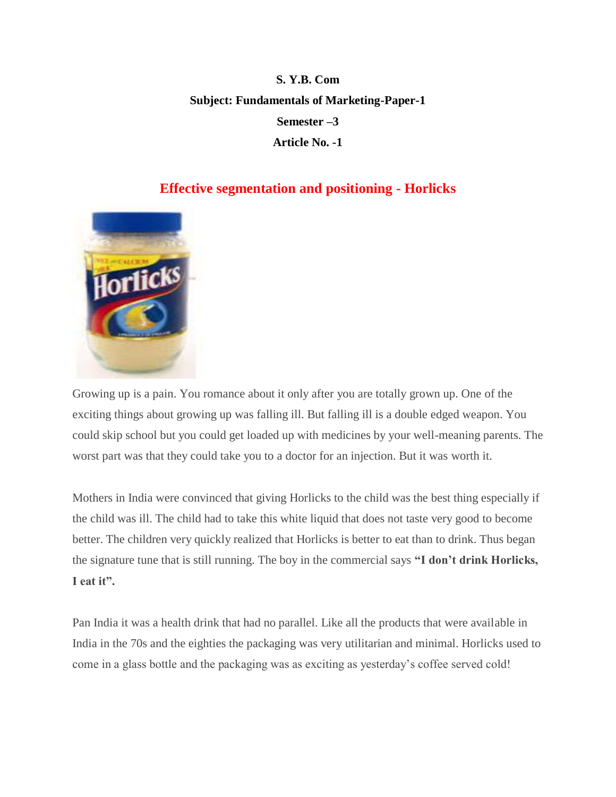## **S. Y.B. Com Subject: Fundamentals of Marketing-Paper-1 Semester –3 Article No. -1**

## **Effective segmentation and positioning - Horlicks**



Growing up is a pain. You romance about it only after you are totally grown up. One of the exciting things about growing up was falling ill. But falling ill is a double edged weapon. You could skip school but you could get loaded up with medicines by your well-meaning parents. The worst part was that they could take you to a doctor for an injection. But it was worth it.

Mothers in India were convinced that giving Horlicks to the child was the best thing especially if the child was ill. The child had to take this white liquid that does not taste very good to become better. The children very quickly realized that Horlicks is better to eat than to drink. Thus began the signature tune that is still running. The boy in the commercial says **"I don't drink Horlicks, I eat it".** 

Pan India it was a health drink that had no parallel. Like all the products that were available in India in the 70s and the eighties the packaging was very utilitarian and minimal. Horlicks used to come in a glass bottle and the packaging was as exciting as yesterday's coffee served cold!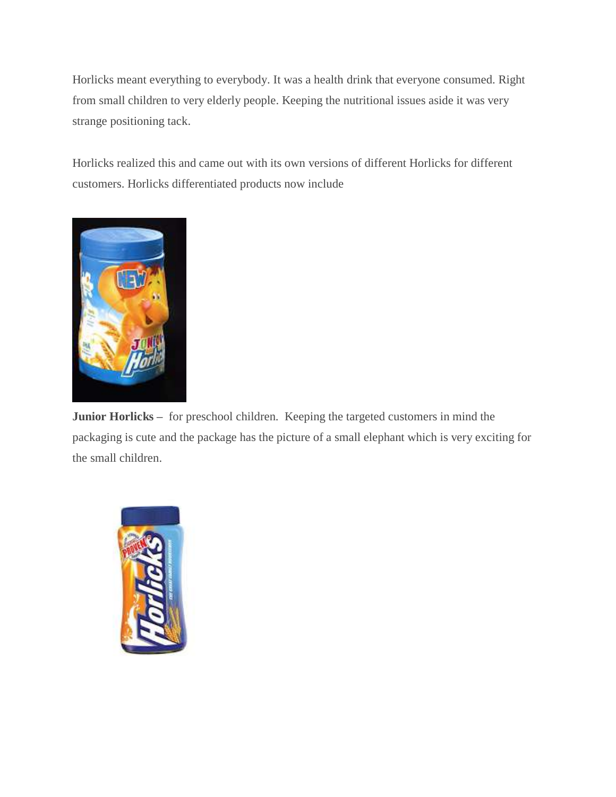Horlicks meant everything to everybody. It was a health drink that everyone consumed. Right from small children to very elderly people. Keeping the nutritional issues aside it was very strange positioning tack.

Horlicks realized this and came out with its own versions of different Horlicks for different customers. Horlicks differentiated products now include



**Junior Horlicks –** for preschool children. Keeping the targeted customers in mind the packaging is cute and the package has the picture of a small elephant which is very exciting for the small children.

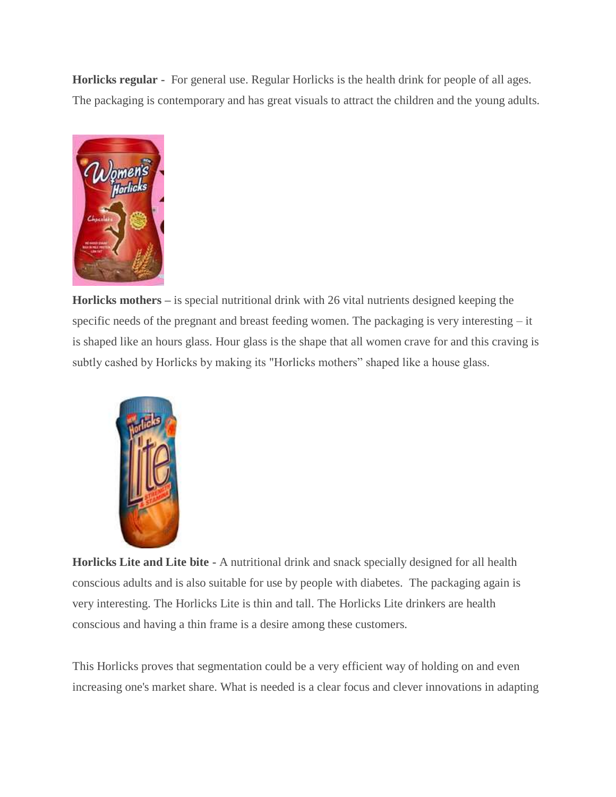**Horlicks regular -** For general use. Regular Horlicks is the health drink for people of all ages. The packaging is contemporary and has great visuals to attract the children and the young adults.



**Horlicks mothers –** is special nutritional drink with 26 vital nutrients designed keeping the specific needs of the pregnant and breast feeding women. The packaging is very interesting – it is shaped like an hours glass. Hour glass is the shape that all women crave for and this craving is subtly cashed by Horlicks by making its "Horlicks mothers" shaped like a house glass.



**Horlicks Lite and Lite bite -** A nutritional drink and snack specially designed for all health conscious adults and is also suitable for use by people with diabetes. The packaging again is very interesting. The Horlicks Lite is thin and tall. The Horlicks Lite drinkers are health conscious and having a thin frame is a desire among these customers.

This Horlicks proves that segmentation could be a very efficient way of holding on and even increasing one's market share. What is needed is a clear focus and clever innovations in adapting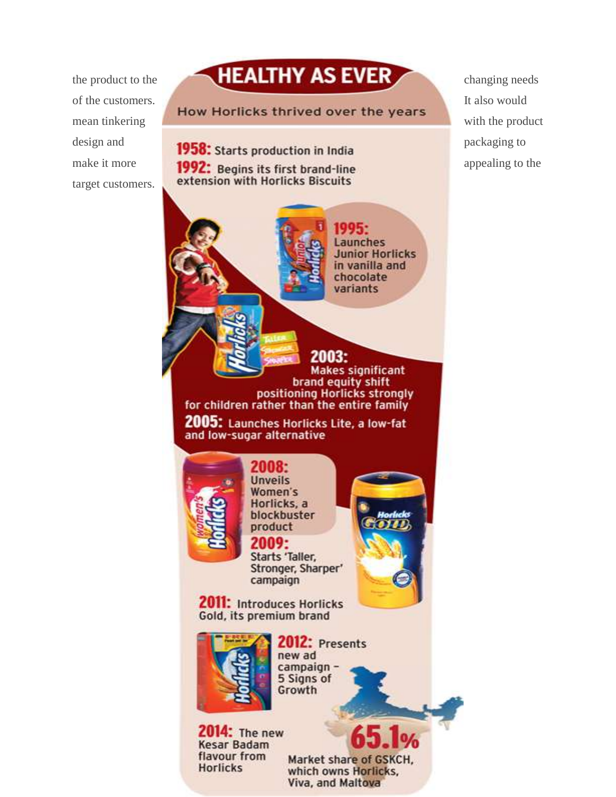target customers.



**2014:** The new **Kesar Badam** flavour from **Horlicks** 

Market share of GSKCH,

which owns Horlicks. Viva, and Maltova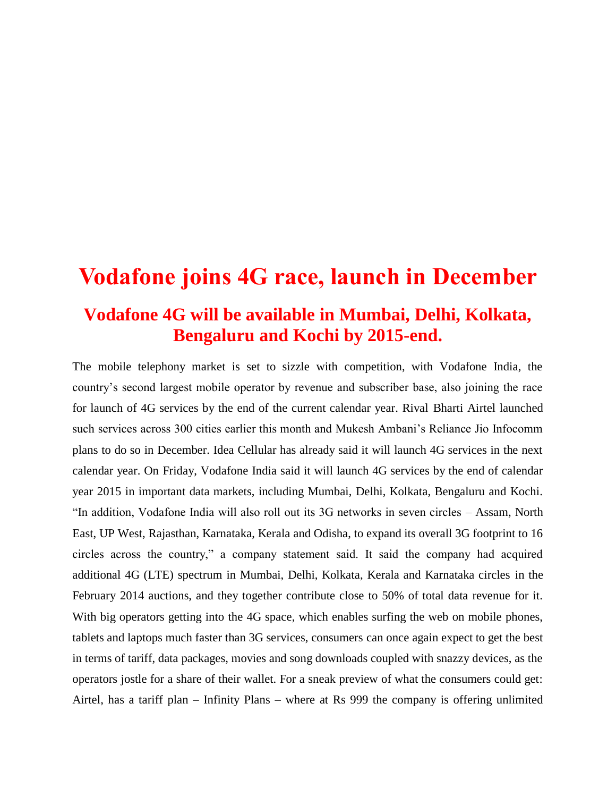## **Vodafone joins 4G race, launch in December Vodafone 4G will be available in Mumbai, Delhi, Kolkata, Bengaluru and Kochi by 2015-end.**

The mobile telephony market is set to sizzle with competition, with Vodafone India, the country's second largest mobile operator by revenue and subscriber base, also joining the race for launch of 4G services by the end of the current calendar year. Rival Bharti Airtel launched such services across 300 cities earlier this month and Mukesh Ambani's Reliance Jio Infocomm plans to do so in December. Idea Cellular has already said it will launch 4G services in the next calendar year. On Friday, Vodafone India said it will launch 4G services by the end of calendar year 2015 in important data markets, including Mumbai, Delhi, Kolkata, Bengaluru and Kochi. "In addition, Vodafone India will also roll out its 3G networks in seven circles – Assam, North East, UP West, Rajasthan, Karnataka, Kerala and Odisha, to expand its overall 3G footprint to 16 circles across the country," a company statement said. It said the company had acquired additional 4G (LTE) spectrum in Mumbai, Delhi, Kolkata, Kerala and Karnataka circles in the February 2014 auctions, and they together contribute close to 50% of total data revenue for it. With big operators getting into the 4G space, which enables surfing the web on mobile phones, tablets and laptops much faster than 3G services, consumers can once again expect to get the best in terms of tariff, data packages, movies and song downloads coupled with snazzy devices, as the operators jostle for a share of their wallet. For a sneak preview of what the consumers could get: Airtel, has a tariff plan – Infinity Plans – where at Rs 999 the company is offering unlimited